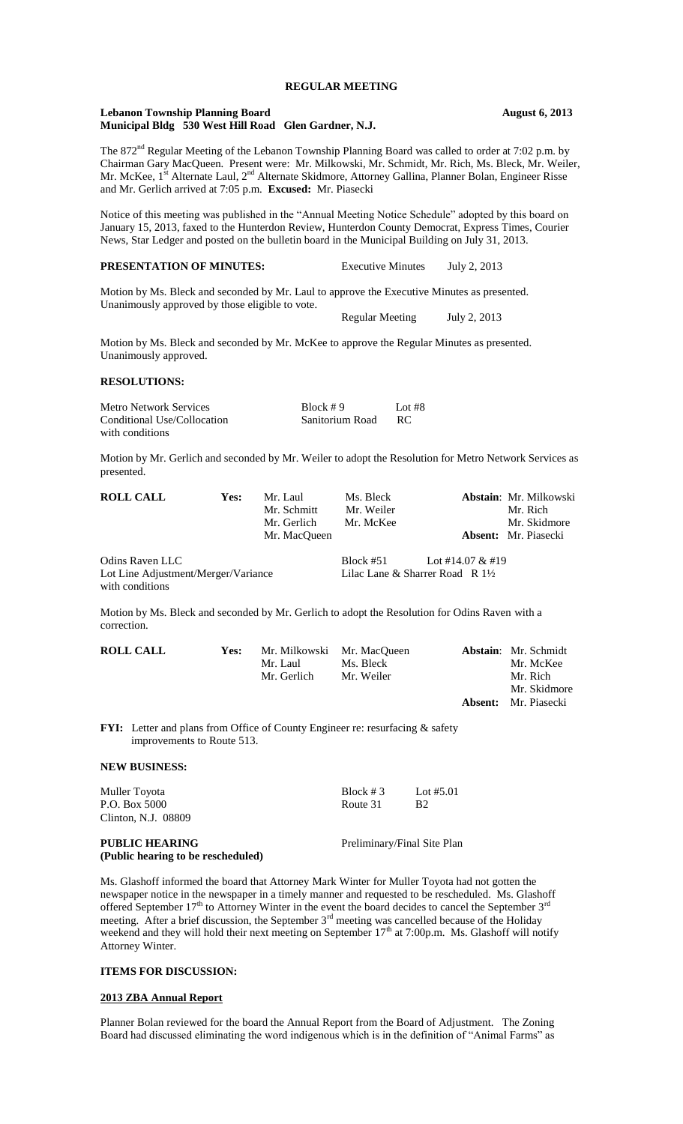#### **Lebanon Township Planning Board August 6, 2013 Municipal Bldg 530 West Hill Road Glen Gardner, N.J.**

The 872<sup>nd</sup> Regular Meeting of the Lebanon Township Planning Board was called to order at 7:02 p.m. by Chairman Gary MacQueen. Present were: Mr. Milkowski, Mr. Schmidt, Mr. Rich, Ms. Bleck, Mr. Weiler, Mr. McKee, 1<sup>st</sup> Alternate Laul, 2<sup>nd</sup> Alternate Skidmore, Attorney Gallina, Planner Bolan, Engineer Risse and Mr. Gerlich arrived at 7:05 p.m. **Excused:** Mr. Piasecki

Notice of this meeting was published in the "Annual Meeting Notice Schedule" adopted by this board on January 15, 2013, faxed to the Hunterdon Review, Hunterdon County Democrat, Express Times, Courier News, Star Ledger and posted on the bulletin board in the Municipal Building on July 31, 2013.

## **PRESENTATION OF MINUTES:** Executive Minutes July 2, 2013

Motion by Ms. Bleck and seconded by Mr. Laul to approve the Executive Minutes as presented. Unanimously approved by those eligible to vote.

Regular Meeting July 2, 2013

Motion by Ms. Bleck and seconded by Mr. McKee to approve the Regular Minutes as presented. Unanimously approved.

### **RESOLUTIONS:**

| <b>Metro Network Services</b> | Block $#9$      | Lot #8 |
|-------------------------------|-----------------|--------|
| Conditional Use/Collocation   | Sanitorium Road | -RC    |
| with conditions               |                 |        |

Motion by Mr. Gerlich and seconded by Mr. Weiler to adopt the Resolution for Metro Network Services as presented.

| <b>ROLL CALL</b>                                       | <b>Yes:</b> | Mr. Laul     | Ms. Bleck   |                                            | <b>Abstain: Mr. Milkowski</b> |
|--------------------------------------------------------|-------------|--------------|-------------|--------------------------------------------|-------------------------------|
|                                                        |             | Mr. Schmitt  | Mr. Weiler  |                                            | Mr. Rich                      |
|                                                        |             | Mr. Gerlich  | Mr. McKee   |                                            | Mr. Skidmore                  |
|                                                        |             | Mr. MacOueen |             |                                            | <b>Absent:</b> Mr. Piasecki   |
| Odins Raven LLC                                        |             |              | Block $#51$ | Lot #14.07 & #19                           |                               |
| Lot Line Adjustment/Merger/Variance<br>with conditions |             |              |             | Lilac Lane & Sharrer Road R $1\frac{1}{2}$ |                               |
|                                                        |             |              |             |                                            |                               |

Motion by Ms. Bleck and seconded by Mr. Gerlich to adopt the Resolution for Odins Raven with a correction.

| <b>ROLL CALL</b> | <b>Yes:</b> |             | Mr. Milkowski Mr. MacQueen | <b>Abstain:</b> Mr. Schmidt |
|------------------|-------------|-------------|----------------------------|-----------------------------|
|                  |             | Mr. Laul    | Ms. Bleck                  | Mr. McKee                   |
|                  |             | Mr. Gerlich | Mr. Weiler                 | Mr. Rich                    |
|                  |             |             |                            | Mr. Skidmore                |
|                  |             |             |                            | <b>Absent:</b> Mr. Piasecki |

FYI: Letter and plans from Office of County Engineer re: resurfacing & safety improvements to Route 513.

#### **NEW BUSINESS:**

| Muller Toyota<br>P.O. Box 5000<br>Clinton, N.J. 08809 | Block $# 3$<br>Route 31 | Lot #5.01<br><b>B</b> <sub>2</sub> |
|-------------------------------------------------------|-------------------------|------------------------------------|
| PUBLIC HEARING<br>(Public hearing to be rescheduled)  |                         | Preliminary/Final Site Plan        |

Ms. Glashoff informed the board that Attorney Mark Winter for Muller Toyota had not gotten the newspaper notice in the newspaper in a timely manner and requested to be rescheduled. Ms. Glashoff offered September  $17<sup>th</sup>$  to Attorney Winter in the event the board decides to cancel the September  $3<sup>rd</sup>$ meeting. After a brief discussion, the September  $3<sup>rd</sup>$  meeting was cancelled because of the Holiday weekend and they will hold their next meeting on September 17<sup>th</sup> at 7:00p.m. Ms. Glashoff will notify Attorney Winter.

### **ITEMS FOR DISCUSSION:**

### **2013 ZBA Annual Report**

Planner Bolan reviewed for the board the Annual Report from the Board of Adjustment. The Zoning Board had discussed eliminating the word indigenous which is in the definition of "Animal Farms" as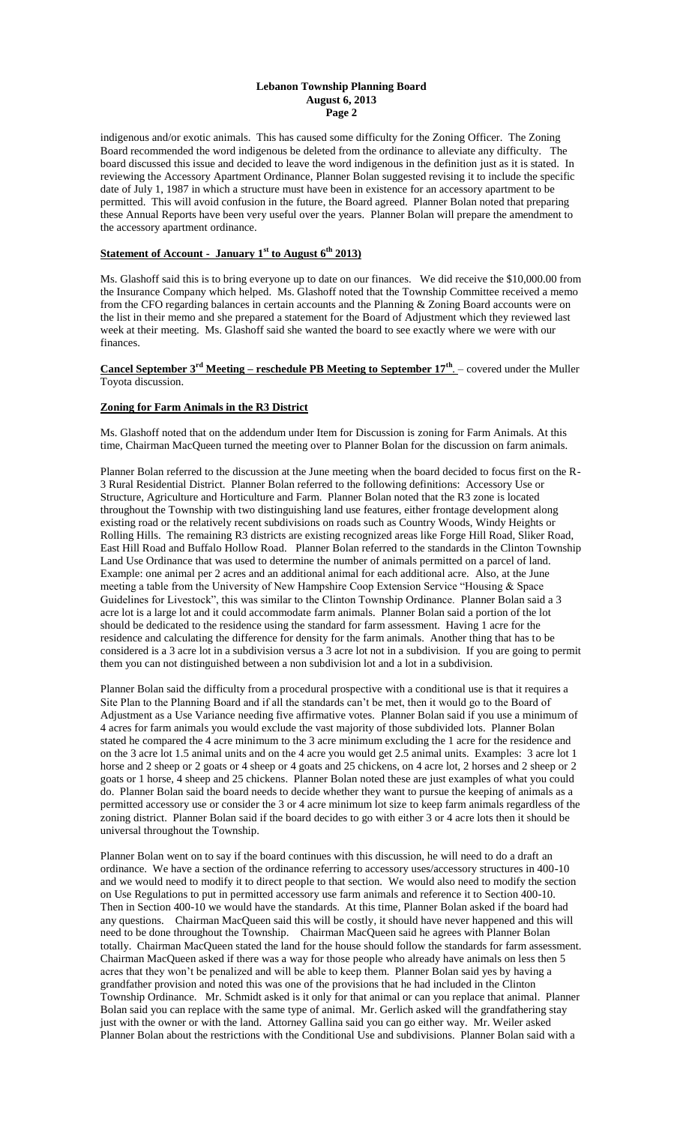### **Lebanon Township Planning Board August 6, 2013 Page 2**

indigenous and/or exotic animals. This has caused some difficulty for the Zoning Officer. The Zoning Board recommended the word indigenous be deleted from the ordinance to alleviate any difficulty. The board discussed this issue and decided to leave the word indigenous in the definition just as it is stated. In reviewing the Accessory Apartment Ordinance, Planner Bolan suggested revising it to include the specific date of July 1, 1987 in which a structure must have been in existence for an accessory apartment to be permitted. This will avoid confusion in the future, the Board agreed. Planner Bolan noted that preparing these Annual Reports have been very useful over the years. Planner Bolan will prepare the amendment to the accessory apartment ordinance.

# **Statement of Account - January 1st to August 6th 2013)**

Ms. Glashoff said this is to bring everyone up to date on our finances. We did receive the \$10,000.00 from the Insurance Company which helped. Ms. Glashoff noted that the Township Committee received a memo from the CFO regarding balances in certain accounts and the Planning & Zoning Board accounts were on the list in their memo and she prepared a statement for the Board of Adjustment which they reviewed last week at their meeting. Ms. Glashoff said she wanted the board to see exactly where we were with our finances.

**Cancel September 3rd Meeting – reschedule PB Meeting to September 17th** . – covered under the Muller Toyota discussion.

## **Zoning for Farm Animals in the R3 District**

Ms. Glashoff noted that on the addendum under Item for Discussion is zoning for Farm Animals. At this time, Chairman MacQueen turned the meeting over to Planner Bolan for the discussion on farm animals.

Planner Bolan referred to the discussion at the June meeting when the board decided to focus first on the R-3 Rural Residential District. Planner Bolan referred to the following definitions: Accessory Use or Structure, Agriculture and Horticulture and Farm. Planner Bolan noted that the R3 zone is located throughout the Township with two distinguishing land use features, either frontage development along existing road or the relatively recent subdivisions on roads such as Country Woods, Windy Heights or Rolling Hills. The remaining R3 districts are existing recognized areas like Forge Hill Road, Sliker Road, East Hill Road and Buffalo Hollow Road. Planner Bolan referred to the standards in the Clinton Township Land Use Ordinance that was used to determine the number of animals permitted on a parcel of land. Example: one animal per 2 acres and an additional animal for each additional acre. Also, at the June meeting a table from the University of New Hampshire Coop Extension Service "Housing & Space Guidelines for Livestock", this was similar to the Clinton Township Ordinance. Planner Bolan said a 3 acre lot is a large lot and it could accommodate farm animals. Planner Bolan said a portion of the lot should be dedicated to the residence using the standard for farm assessment. Having 1 acre for the residence and calculating the difference for density for the farm animals. Another thing that has to be considered is a 3 acre lot in a subdivision versus a 3 acre lot not in a subdivision. If you are going to permit them you can not distinguished between a non subdivision lot and a lot in a subdivision.

Planner Bolan said the difficulty from a procedural prospective with a conditional use is that it requires a Site Plan to the Planning Board and if all the standards can't be met, then it would go to the Board of Adjustment as a Use Variance needing five affirmative votes. Planner Bolan said if you use a minimum of 4 acres for farm animals you would exclude the vast majority of those subdivided lots. Planner Bolan stated he compared the 4 acre minimum to the 3 acre minimum excluding the 1 acre for the residence and on the 3 acre lot 1.5 animal units and on the 4 acre you would get 2.5 animal units. Examples: 3 acre lot 1 horse and 2 sheep or 2 goats or 4 sheep or 4 goats and 25 chickens, on 4 acre lot, 2 horses and 2 sheep or 2 goats or 1 horse, 4 sheep and 25 chickens. Planner Bolan noted these are just examples of what you could do. Planner Bolan said the board needs to decide whether they want to pursue the keeping of animals as a permitted accessory use or consider the 3 or 4 acre minimum lot size to keep farm animals regardless of the zoning district. Planner Bolan said if the board decides to go with either 3 or 4 acre lots then it should be universal throughout the Township.

Planner Bolan went on to say if the board continues with this discussion, he will need to do a draft an ordinance. We have a section of the ordinance referring to accessory uses/accessory structures in 400-10 and we would need to modify it to direct people to that section. We would also need to modify the section on Use Regulations to put in permitted accessory use farm animals and reference it to Section 400-10. Then in Section 400-10 we would have the standards. At this time, Planner Bolan asked if the board had any questions. Chairman MacQueen said this will be costly, it should have never happened and this will need to be done throughout the Township. Chairman MacQueen said he agrees with Planner Bolan totally. Chairman MacQueen stated the land for the house should follow the standards for farm assessment. Chairman MacQueen asked if there was a way for those people who already have animals on less then 5 acres that they won't be penalized and will be able to keep them. Planner Bolan said yes by having a grandfather provision and noted this was one of the provisions that he had included in the Clinton Township Ordinance. Mr. Schmidt asked is it only for that animal or can you replace that animal. Planner Bolan said you can replace with the same type of animal. Mr. Gerlich asked will the grandfathering stay just with the owner or with the land. Attorney Gallina said you can go either way. Mr. Weiler asked Planner Bolan about the restrictions with the Conditional Use and subdivisions. Planner Bolan said with a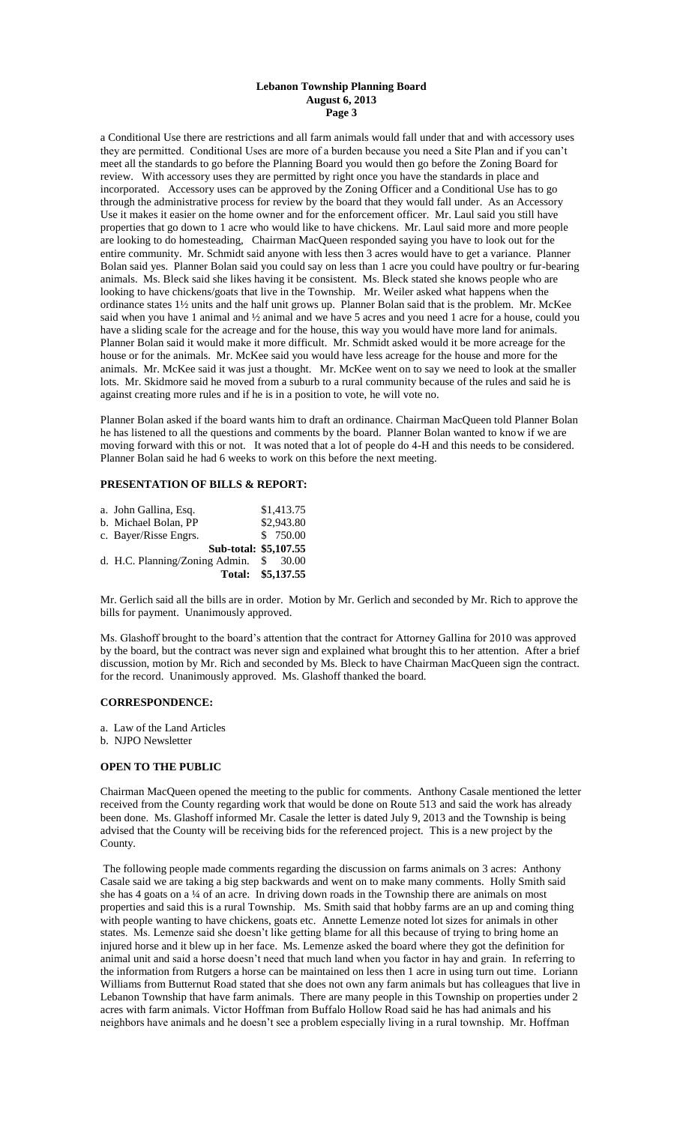### **Lebanon Township Planning Board August 6, 2013 Page 3**

a Conditional Use there are restrictions and all farm animals would fall under that and with accessory uses they are permitted. Conditional Uses are more of a burden because you need a Site Plan and if you can't meet all the standards to go before the Planning Board you would then go before the Zoning Board for review. With accessory uses they are permitted by right once you have the standards in place and incorporated. Accessory uses can be approved by the Zoning Officer and a Conditional Use has to go through the administrative process for review by the board that they would fall under. As an Accessory Use it makes it easier on the home owner and for the enforcement officer. Mr. Laul said you still have properties that go down to 1 acre who would like to have chickens. Mr. Laul said more and more people are looking to do homesteading, Chairman MacQueen responded saying you have to look out for the entire community. Mr. Schmidt said anyone with less then 3 acres would have to get a variance. Planner Bolan said yes. Planner Bolan said you could say on less than 1 acre you could have poultry or fur-bearing animals. Ms. Bleck said she likes having it be consistent. Ms. Bleck stated she knows people who are looking to have chickens/goats that live in the Township. Mr. Weiler asked what happens when the ordinance states 1½ units and the half unit grows up. Planner Bolan said that is the problem. Mr. McKee said when you have 1 animal and ½ animal and we have 5 acres and you need 1 acre for a house, could you have a sliding scale for the acreage and for the house, this way you would have more land for animals. Planner Bolan said it would make it more difficult. Mr. Schmidt asked would it be more acreage for the house or for the animals. Mr. McKee said you would have less acreage for the house and more for the animals. Mr. McKee said it was just a thought. Mr. McKee went on to say we need to look at the smaller lots. Mr. Skidmore said he moved from a suburb to a rural community because of the rules and said he is against creating more rules and if he is in a position to vote, he will vote no.

Planner Bolan asked if the board wants him to draft an ordinance. Chairman MacQueen told Planner Bolan he has listened to all the questions and comments by the board. Planner Bolan wanted to know if we are moving forward with this or not. It was noted that a lot of people do 4-H and this needs to be considered. Planner Bolan said he had 6 weeks to work on this before the next meeting.

# **PRESENTATION OF BILLS & REPORT:**

| c. Bayer/Risse Engrs.<br>Sub-total: \$5,107.55 |          |
|------------------------------------------------|----------|
| d. H.C. Planning/Zoning Admin.                 | \$ 30.00 |

Mr. Gerlich said all the bills are in order. Motion by Mr. Gerlich and seconded by Mr. Rich to approve the bills for payment. Unanimously approved.

Ms. Glashoff brought to the board's attention that the contract for Attorney Gallina for 2010 was approved by the board, but the contract was never sign and explained what brought this to her attention. After a brief discussion, motion by Mr. Rich and seconded by Ms. Bleck to have Chairman MacQueen sign the contract. for the record. Unanimously approved. Ms. Glashoff thanked the board.

### **CORRESPONDENCE:**

- a. Law of the Land Articles
- b. NJPO Newsletter

### **OPEN TO THE PUBLIC**

Chairman MacQueen opened the meeting to the public for comments. Anthony Casale mentioned the letter received from the County regarding work that would be done on Route 513 and said the work has already been done. Ms. Glashoff informed Mr. Casale the letter is dated July 9, 2013 and the Township is being advised that the County will be receiving bids for the referenced project. This is a new project by the County.

The following people made comments regarding the discussion on farms animals on 3 acres: Anthony Casale said we are taking a big step backwards and went on to make many comments. Holly Smith said she has 4 goats on a ¼ of an acre. In driving down roads in the Township there are animals on most properties and said this is a rural Township. Ms. Smith said that hobby farms are an up and coming thing with people wanting to have chickens, goats etc. Annette Lemenze noted lot sizes for animals in other states. Ms. Lemenze said she doesn't like getting blame for all this because of trying to bring home an injured horse and it blew up in her face. Ms. Lemenze asked the board where they got the definition for animal unit and said a horse doesn't need that much land when you factor in hay and grain. In referring to the information from Rutgers a horse can be maintained on less then 1 acre in using turn out time. Loriann Williams from Butternut Road stated that she does not own any farm animals but has colleagues that live in Lebanon Township that have farm animals. There are many people in this Township on properties under 2 acres with farm animals. Victor Hoffman from Buffalo Hollow Road said he has had animals and his neighbors have animals and he doesn't see a problem especially living in a rural township. Mr. Hoffman